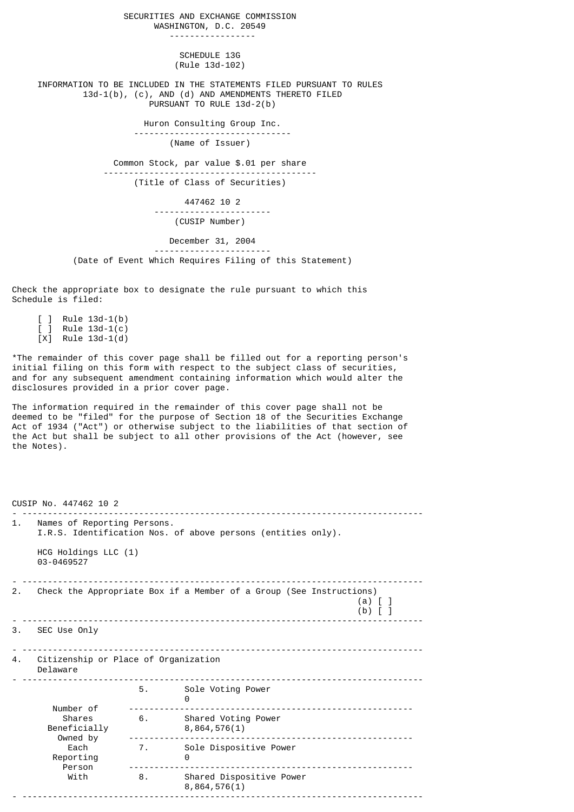SECURITIES AND EXCHANGE COMMISSION WASHINGTON, D.C. 20549 ----------------- SCHEDULE 13G (Rule 13d-102) INFORMATION TO BE INCLUDED IN THE STATEMENTS FILED PURSUANT TO RULES 13d-1(b), (c), AND (d) AND AMENDMENTS THERETO FILED PURSUANT TO RULE 13d-2(b) Huron Consulting Group Inc. ------------------------------- (Name of Issuer) Common Stock, par value \$.01 per share ------------------------------------------ (Title of Class of Securities) 447462 10 2 ----------------------- (CUSIP Number) December 31, 2004 ----------------------- (Date of Event Which Requires Filing of this Statement)

Check the appropriate box to designate the rule pursuant to which this Schedule is filed:

 [ ] Rule 13d-1(b)  $j$  Rule 13d-1(c)  $[X]$  Rule 13d-1 $(d)$ 

\*The remainder of this cover page shall be filled out for a reporting person's initial filing on this form with respect to the subject class of securities, and for any subsequent amendment containing information which would alter the disclosures provided in a prior cover page.

The information required in the remainder of this cover page shall not be deemed to be "filed" for the purpose of Section 18 of the Securities Exchange Act of 1934 ("Act") or otherwise subject to the liabilities of that section of the Act but shall be subject to all other provisions of the Act (however, see the Notes).

CUSIP No. 447462 10 2 - ------------------------------------------------------------------------------- 1. Names of Reporting Persons. I.R.S. Identification Nos. of above persons (entities only). HCG Holdings LLC (1) 03-0469527 - ------------------------------------------------------------------------------- 2. Check the Appropriate Box if a Member of a Group (See Instructions) (a) [ ] (b)  $\begin{bmatrix} 1 \end{bmatrix}$ - ------------------------------------------------------------------------------- 3. SEC Use Only - ------------------------------------------------------------------------------- 4. Citizenship or Place of Organization Delaware - ------------------------------------------------------------------------------- 5. Sole Voting Power 0 Number of -------------------------------------------------------- Shares 6. Shared Voting Power Beneficially 8,864,576(1) Owned by -------------------------------------------------------- Each 7. Sole Dispositive Power Reporting the control of the control of  $\theta$  Person -------------------------------------------------------- With 8. Shared Dispositive Power  $8,864,576(1)$ - -------------------------------------------------------------------------------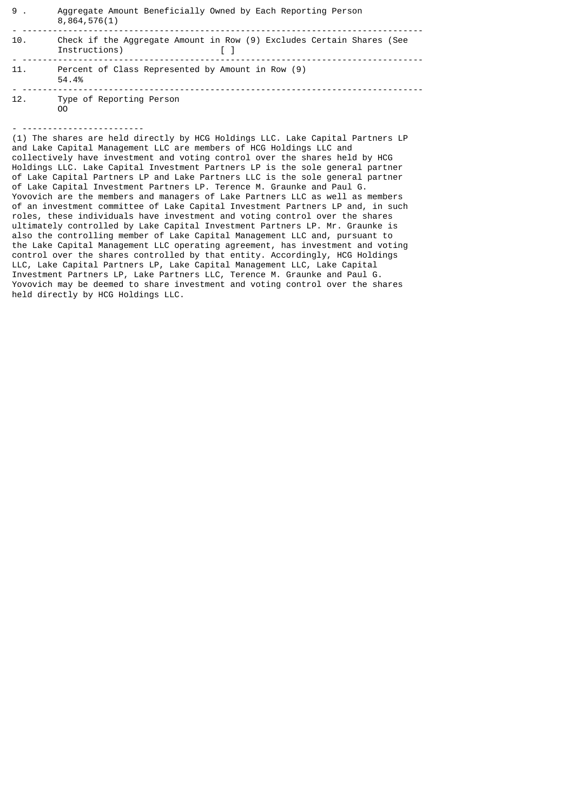| 9.  | Aggregate Amount Beneficially Owned by Each Reporting Person<br>8,864,576(1)           |
|-----|----------------------------------------------------------------------------------------|
| 10. | Check if the Aggregate Amount in Row (9) Excludes Certain Shares (See<br>Instructions) |
| 11. | Percent of Class Represented by Amount in Row (9)<br>54.4%                             |
| 12. | Type of Reporting Person                                                               |

- ------------------------

OO

(1) The shares are held directly by HCG Holdings LLC. Lake Capital Partners LP and Lake Capital Management LLC are members of HCG Holdings LLC and collectively have investment and voting control over the shares held by HCG Holdings LLC. Lake Capital Investment Partners LP is the sole general partner of Lake Capital Partners LP and Lake Partners LLC is the sole general partner of Lake Capital Investment Partners LP. Terence M. Graunke and Paul G. Yovovich are the members and managers of Lake Partners LLC as well as members of an investment committee of Lake Capital Investment Partners LP and, in such roles, these individuals have investment and voting control over the shares ultimately controlled by Lake Capital Investment Partners LP. Mr. Graunke is also the controlling member of Lake Capital Management LLC and, pursuant to the Lake Capital Management LLC operating agreement, has investment and voting control over the shares controlled by that entity. Accordingly, HCG Holdings LLC, Lake Capital Partners LP, Lake Capital Management LLC, Lake Capital Investment Partners LP, Lake Partners LLC, Terence M. Graunke and Paul G. Yovovich may be deemed to share investment and voting control over the shares held directly by HCG Holdings LLC.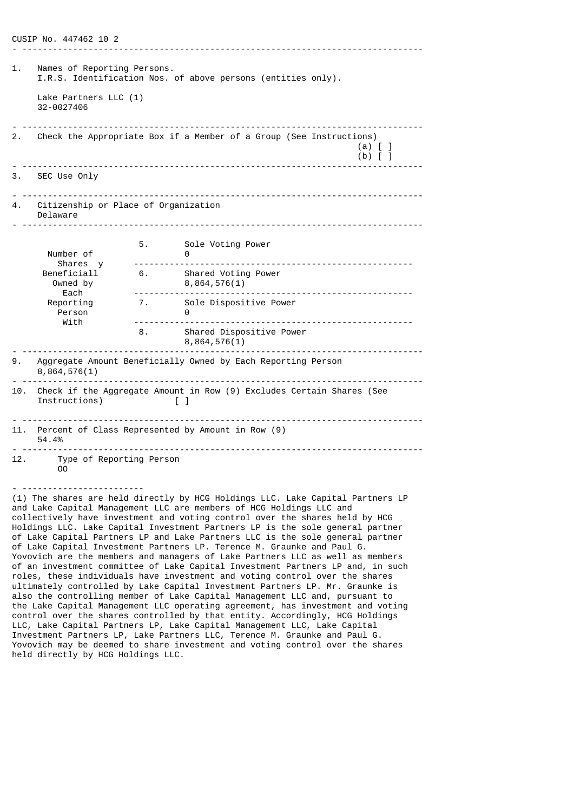CUSIP No. 447462 10 2 - ------------------------------------------------------------------------------- 1. Names of Reporting Persons. I.R.S. Identification Nos. of above persons (entities only). Lake Partners LLC (1) 32-0027406 - ------------------------------------------------------------------------------- 2. Check the Appropriate Box if a Member of a Group (See Instructions)  $\begin{matrix} (a) \ (b) \end{matrix}$   $\begin{matrix} 1 \ 1 \end{matrix}$  $(b)$  [ ] - ------------------------------------------------------------------------------- 3. SEC Use Only - ------------------------------------------------------------------------------- Citizenship or Place of Organization Delaware - ------------------------------------------------------------------------------- 5. Sole Voting Power Number of 0 Shares y ------------------------------------------------------- Beneficiall 6. Shared Voting Power Owned by 8,864,576(1) Each ------------------------------------------------------- 7. Sole Dispositive Power Person 0<br>With ----------- With ------------------------------------------------------- 8. Shared Dispositive Power 8,864,576(1) - ------------------------------------------------------------------------------- 9. Aggregate Amount Beneficially Owned by Each Reporting Person 8,864,576(1) - ------------------------------------------------------------------------------- 10. Check if the Aggregate Amount in Row (9) Excludes Certain Shares (See Instructions)  $\begin{bmatrix} 1 \end{bmatrix}$  $\blacksquare$ - ------------------------------------------------------------------------------- 11. Percent of Class Represented by Amount in Row (9)  $54.4%$ - ------------------------------------------------------------------------------- 12. Type of Reporting Person OO - ------------------------ (1) The shares are held directly by HCG Holdings LLC. Lake Capital Partners LP

and Lake Capital Management LLC are members of HCG Holdings LLC and collectively have investment and voting control over the shares held by HCG Holdings LLC. Lake Capital Investment Partners LP is the sole general partner of Lake Capital Partners LP and Lake Partners LLC is the sole general partner of Lake Capital Investment Partners LP. Terence M. Graunke and Paul G. Yovovich are the members and managers of Lake Partners LLC as well as members of an investment committee of Lake Capital Investment Partners LP and, in such roles, these individuals have investment and voting control over the shares ultimately controlled by Lake Capital Investment Partners LP. Mr. Graunke is also the controlling member of Lake Capital Management LLC and, pursuant to the Lake Capital Management LLC operating agreement, has investment and voting control over the shares controlled by that entity. Accordingly, HCG Holdings LLC, Lake Capital Partners LP, Lake Capital Management LLC, Lake Capital Investment Partners LP, Lake Partners LLC, Terence M. Graunke and Paul G. Yovovich may be deemed to share investment and voting control over the shares held directly by HCG Holdings LLC.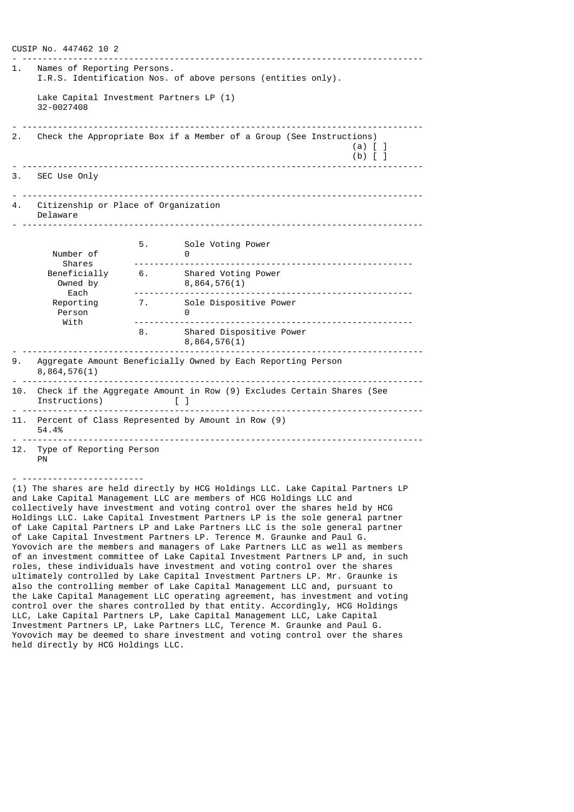CUSIP No. 447462 10 2 - ------------------------------------------------------------------------------- 1. Names of Reporting Persons. I.R.S. Identification Nos. of above persons (entities only). Lake Capital Investment Partners LP (1) 32-0027408 - ------------------------------------------------------------------------------- 2. Check the Appropriate Box if a Member of a Group (See Instructions) (a)  $\begin{bmatrix} 1 \\ 1 \end{bmatrix}$  $(b)$  [ ] - ------------------------------------------------------------------------------- 3. SEC Use Only - ------------------------------------------------------------------------------- Citizenship or Place of Organization Delaware - ------------------------------------------------------------------------------- 5. Sole Voting Power Number of 0 Shares ------------------------------------------------------- Beneficially 6. Shared Voting Power Owned by 8,864,576(1) Each ------------------------------------------------------- 7. Sole Dispositive Power<br>0 Person<br>With With ------------------------------------------------------- 8. Shared Dispositive Power 8,864,576(1) - ------------------------------------------------------------------------------- 9. Aggregate Amount Beneficially Owned by Each Reporting Person 8,864,576(1) - ------------------------------------------------------------------------------- 10. Check if the Aggregate Amount in Row (9) Excludes Certain Shares (See Instructions) [ ] - ------------------------------------------------------------------------------- 11. Percent of Class Represented by Amount in Row (9)  $54.4%$ - ------------------------------------------------------------------------------- 12. Type of Reporting Person PN

(1) The shares are held directly by HCG Holdings LLC. Lake Capital Partners LP and Lake Capital Management LLC are members of HCG Holdings LLC and collectively have investment and voting control over the shares held by HCG Holdings LLC. Lake Capital Investment Partners LP is the sole general partner of Lake Capital Partners LP and Lake Partners LLC is the sole general partner of Lake Capital Investment Partners LP. Terence M. Graunke and Paul G. Yovovich are the members and managers of Lake Partners LLC as well as members of an investment committee of Lake Capital Investment Partners LP and, in such roles, these individuals have investment and voting control over the shares ultimately controlled by Lake Capital Investment Partners LP. Mr. Graunke is also the controlling member of Lake Capital Management LLC and, pursuant to the Lake Capital Management LLC operating agreement, has investment and voting control over the shares controlled by that entity. Accordingly, HCG Holdings LLC, Lake Capital Partners LP, Lake Capital Management LLC, Lake Capital Investment Partners LP, Lake Partners LLC, Terence M. Graunke and Paul G. Yovovich may be deemed to share investment and voting control over the shares held directly by HCG Holdings LLC.

- ------------------------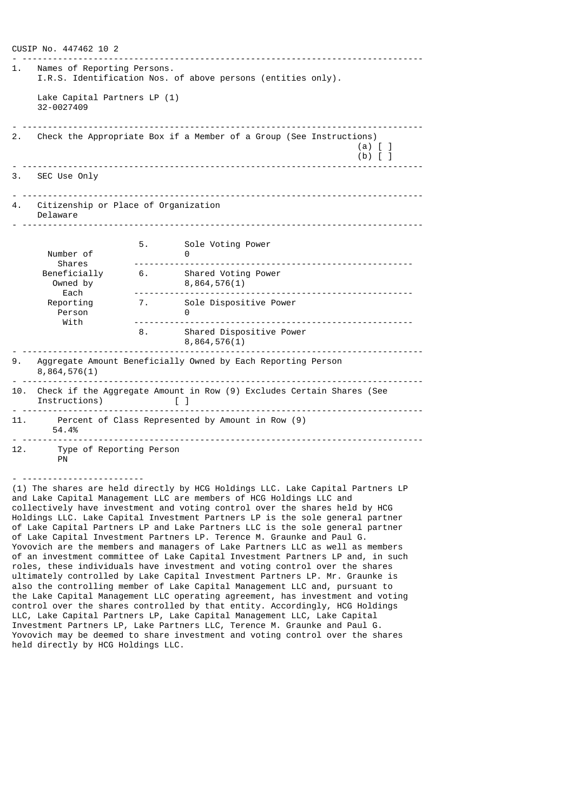CUSIP No. 447462 10 2 - ------------------------------------------------------------------------------- 1. Names of Reporting Persons. I.R.S. Identification Nos. of above persons (entities only). Lake Capital Partners LP (1) 32-0027409 - ------------------------------------------------------------------------------- 2. Check the Appropriate Box if a Member of a Group (See Instructions) (a) [ ]  $(b)$  [ ] - ------------------------------------------------------------------------------- 3. SEC Use Only - ------------------------------------------------------------------------------- Citizenship or Place of Organization Delaware - ------------------------------------------------------------------------------- 5. Sole Voting Power Number of 0 Shares ------------------------------------------------------- Beneficially 6. Shared Voting Power Owned by 8,864,576(1) Each ------------------------------------------------------- 7. Sole Dispositive Power Person 0<br>With ----------- With ------------------------------------------------------- 8. Shared Dispositive Power 8,864,576(1) - ------------------------------------------------------------------------------- 9. Aggregate Amount Beneficially Owned by Each Reporting Person 8,864,576(1) - ------------------------------------------------------------------------------- 10. Check if the Aggregate Amount in Row (9) Excludes Certain Shares (See Instructions) [ ] - ------------------------------------------------------------------------------- 11. Percent of Class Represented by Amount in Row (9) 54.4% - ------------------------------------------------------------------------------- 12. Type of Reporting Person PN

(1) The shares are held directly by HCG Holdings LLC. Lake Capital Partners LP and Lake Capital Management LLC are members of HCG Holdings LLC and collectively have investment and voting control over the shares held by HCG Holdings LLC. Lake Capital Investment Partners LP is the sole general partner of Lake Capital Partners LP and Lake Partners LLC is the sole general partner of Lake Capital Investment Partners LP. Terence M. Graunke and Paul G. Yovovich are the members and managers of Lake Partners LLC as well as members of an investment committee of Lake Capital Investment Partners LP and, in such roles, these individuals have investment and voting control over the shares ultimately controlled by Lake Capital Investment Partners LP. Mr. Graunke is also the controlling member of Lake Capital Management LLC and, pursuant to the Lake Capital Management LLC operating agreement, has investment and voting control over the shares controlled by that entity. Accordingly, HCG Holdings LLC, Lake Capital Partners LP, Lake Capital Management LLC, Lake Capital Investment Partners LP, Lake Partners LLC, Terence M. Graunke and Paul G. Yovovich may be deemed to share investment and voting control over the shares held directly by HCG Holdings LLC.

- ------------------------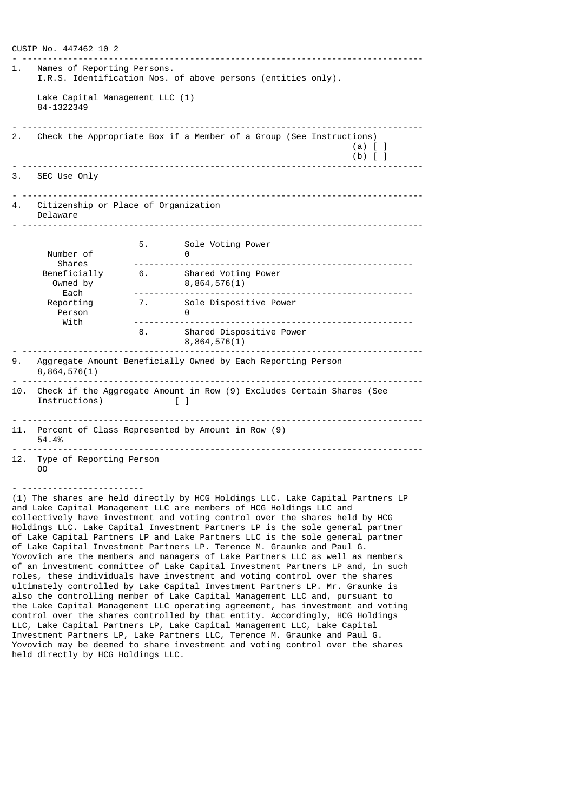CUSIP No. 447462 10 2 - ------------------------------------------------------------------------------- 1. Names of Reporting Persons. I.R.S. Identification Nos. of above persons (entities only). Lake Capital Management LLC (1) 84-1322349 - ------------------------------------------------------------------------------- 2. Check the Appropriate Box if a Member of a Group (See Instructions) (a)  $\begin{bmatrix} 1 \\ 1 \end{bmatrix}$  $(b)$  [ ] - ------------------------------------------------------------------------------- 3. SEC Use Only - ------------------------------------------------------------------------------- 4. Citizenship or Place of Organization Delaware - ------------------------------------------------------------------------------- 5. Sole Voting Power Number of 0 Shares ------------------------------------------------------- Beneficially 6. Shared Voting Power Owned by 8,864,576(1) Each ------------------------------------------------------- 7. Sole Dispositive Power Person 0<br>With ------------ With ------------------------------------------------------- 8. Shared Dispositive Power 8,864,576(1) - ------------------------------------------------------------------------------- 9. Aggregate Amount Beneficially Owned by Each Reporting Person 8,864,576(1) - ------------------------------------------------------------------------------- 10. Check if the Aggregate Amount in Row (9) Excludes Certain Shares (See Instructions)  $\begin{bmatrix} 1 \end{bmatrix}$  $\blacksquare$ - ------------------------------------------------------------------------------- 11. Percent of Class Represented by Amount in Row (9) 54.4% - ------------------------------------------------------------------------------- 12. Type of Reporting Person OO - ------------------------ (1) The shares are held directly by HCG Holdings LLC. Lake Capital Partners LP

and Lake Capital Management LLC are members of HCG Holdings LLC and collectively have investment and voting control over the shares held by HCG Holdings LLC. Lake Capital Investment Partners LP is the sole general partner of Lake Capital Partners LP and Lake Partners LLC is the sole general partner of Lake Capital Investment Partners LP. Terence M. Graunke and Paul G. Yovovich are the members and managers of Lake Partners LLC as well as members of an investment committee of Lake Capital Investment Partners LP and, in such roles, these individuals have investment and voting control over the shares ultimately controlled by Lake Capital Investment Partners LP. Mr. Graunke is also the controlling member of Lake Capital Management LLC and, pursuant to the Lake Capital Management LLC operating agreement, has investment and voting control over the shares controlled by that entity. Accordingly, HCG Holdings LLC, Lake Capital Partners LP, Lake Capital Management LLC, Lake Capital Investment Partners LP, Lake Partners LLC, Terence M. Graunke and Paul G. Yovovich may be deemed to share investment and voting control over the shares held directly by HCG Holdings LLC.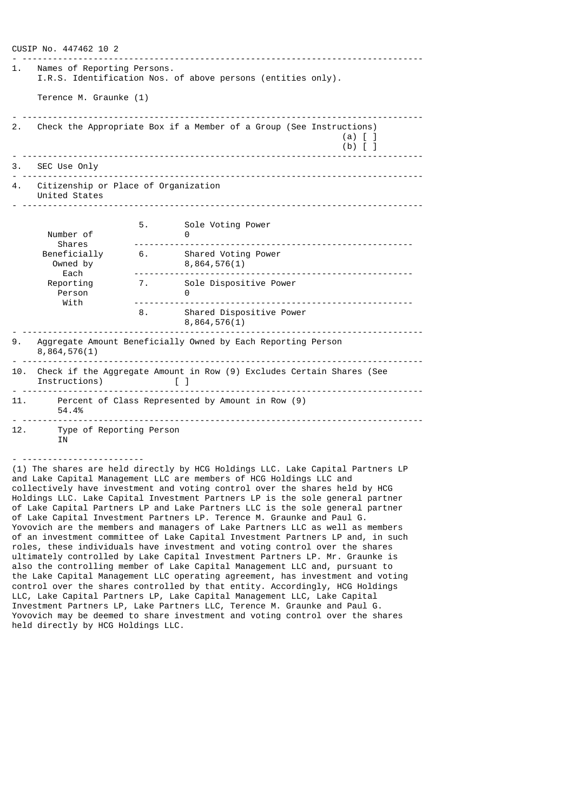CUSIP No. 447462 10 2 - ------------------------------------------------------------------------------- 1. Names of Reporting Persons. I.R.S. Identification Nos. of above persons (entities only). Terence M. Graunke (1) - ------------------------------------------------------------------------------- 2. Check the Appropriate Box if a Member of a Group (See Instructions) (a) [ ]  $(b)$  [ ] - ------------------------------------------------------------------------------- 3. SEC Use Only - ------------------------------------------------------------------------------- 4. Citizenship or Place of Organization United States - ------------------------------------------------------------------------------- 5. Sole Voting Power Number of 0 Shares ------------------------------------------------------- Beneficially 6. Shared Voting Power Owned by 8,864,576(1) Each ------------------------------------------------------- 7. Sole Dispositive Power<br>0 .<br>With<br>With With ------------------------------------------------------- 8. Shared Dispositive Power  $8,864,576(1)$ - ------------------------------------------------------------------------------- 9. Aggregate Amount Beneficially Owned by Each Reporting Person 8,864,576(1) - ------------------------------------------------------------------------------- 10. Check if the Aggregate Amount in Row (9) Excludes Certain Shares (See Instructions) [ ] - ------------------------------------------------------------------------------- 11. Percent of Class Represented by Amount in Row (9) 54.4% - ------------------------------------------------------------------------------- 12. Type of Reporting Person IN - ------------------------

(1) The shares are held directly by HCG Holdings LLC. Lake Capital Partners LP and Lake Capital Management LLC are members of HCG Holdings LLC and collectively have investment and voting control over the shares held by HCG Holdings LLC. Lake Capital Investment Partners LP is the sole general partner of Lake Capital Partners LP and Lake Partners LLC is the sole general partner of Lake Capital Investment Partners LP. Terence M. Graunke and Paul G. Yovovich are the members and managers of Lake Partners LLC as well as members of an investment committee of Lake Capital Investment Partners LP and, in such roles, these individuals have investment and voting control over the shares ultimately controlled by Lake Capital Investment Partners LP. Mr. Graunke is also the controlling member of Lake Capital Management LLC and, pursuant to the Lake Capital Management LLC operating agreement, has investment and voting control over the shares controlled by that entity. Accordingly, HCG Holdings LLC, Lake Capital Partners LP, Lake Capital Management LLC, Lake Capital Investment Partners LP, Lake Partners LLC, Terence M. Graunke and Paul G. Yovovich may be deemed to share investment and voting control over the shares held directly by HCG Holdings LLC.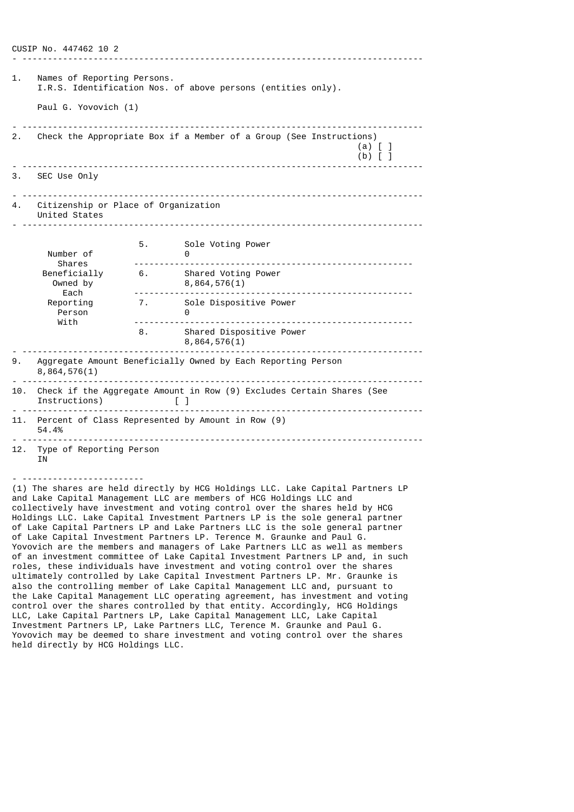CUSIP No. 447462 10 2 - ------------------------------------------------------------------------------- Names of Reporting Persons. I.R.S. Identification Nos. of above persons (entities only). Paul G. Yovovich (1) - ------------------------------------------------------------------------------- 2. Check the Appropriate Box if a Member of a Group (See Instructions) (a) [ ]  $(b)$  [ ] - ------------------------------------------------------------------------------- 3. SEC Use Only - ------------------------------------------------------------------------------- 4. Citizenship or Place of Organization United States - ------------------------------------------------------------------------------- 5. Sole Voting Power Number of 0 Shares ------------------------------------------------------- Beneficially 6. Shared Voting Power Owned by 8,864,576(1) Each ------------------------------------------------------- 7. Sole Dispositive Power<br>0 .<br>With With ------------------------------------------------------- 8. Shared Dispositive Power 8,864,576(1) - ------------------------------------------------------------------------------- 9. Aggregate Amount Beneficially Owned by Each Reporting Person 8,864,576(1) - ------------------------------------------------------------------------------- 10. Check if the Aggregate Amount in Row (9) Excludes Certain Shares (See Instructions) [ ] - ------------------------------------------------------------------------------- 11. Percent of Class Represented by Amount in Row (9) 54.4% - ------------------------------------------------------------------------------- 12. Type of Reporting Person **TN** - ------------------------

(1) The shares are held directly by HCG Holdings LLC. Lake Capital Partners LP and Lake Capital Management LLC are members of HCG Holdings LLC and collectively have investment and voting control over the shares held by HCG Holdings LLC. Lake Capital Investment Partners LP is the sole general partner of Lake Capital Partners LP and Lake Partners LLC is the sole general partner of Lake Capital Investment Partners LP. Terence M. Graunke and Paul G. Yovovich are the members and managers of Lake Partners LLC as well as members of an investment committee of Lake Capital Investment Partners LP and, in such roles, these individuals have investment and voting control over the shares ultimately controlled by Lake Capital Investment Partners LP. Mr. Graunke is also the controlling member of Lake Capital Management LLC and, pursuant to the Lake Capital Management LLC operating agreement, has investment and voting control over the shares controlled by that entity. Accordingly, HCG Holdings LLC, Lake Capital Partners LP, Lake Capital Management LLC, Lake Capital Investment Partners LP, Lake Partners LLC, Terence M. Graunke and Paul G. Yovovich may be deemed to share investment and voting control over the shares held directly by HCG Holdings LLC.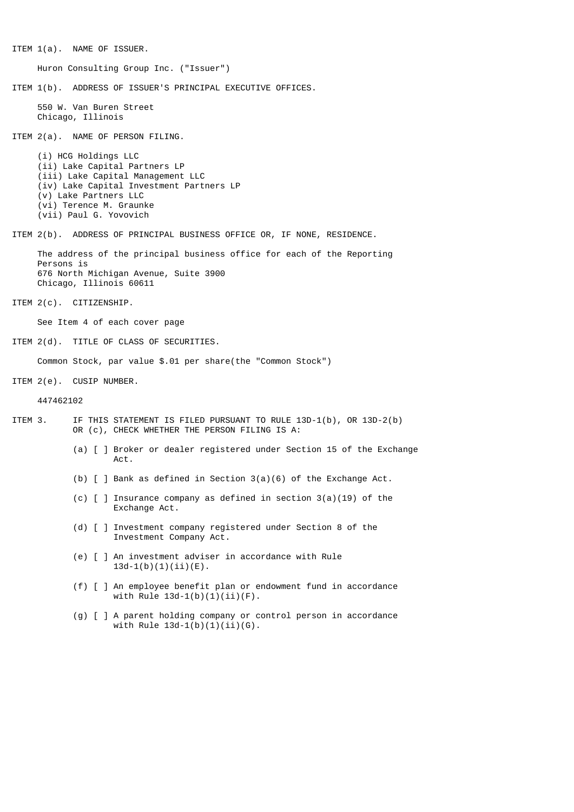ITEM 1(a). NAME OF ISSUER. Huron Consulting Group Inc. ("Issuer") ITEM 1(b). ADDRESS OF ISSUER'S PRINCIPAL EXECUTIVE OFFICES. 550 W. Van Buren Street Chicago, Illinois ITEM 2(a). NAME OF PERSON FILING. (i) HCG Holdings LLC (ii) Lake Capital Partners LP (iii) Lake Capital Management LLC (iv) Lake Capital Investment Partners LP (v) Lake Partners LLC (vi) Terence M. Graunke (vii) Paul G. Yovovich ITEM 2(b). ADDRESS OF PRINCIPAL BUSINESS OFFICE OR, IF NONE, RESIDENCE. The address of the principal business office for each of the Reporting Persons is 676 North Michigan Avenue, Suite 3900 Chicago, Illinois 60611 ITEM 2(c). CITIZENSHIP. See Item 4 of each cover page ITEM 2(d). TITLE OF CLASS OF SECURITIES. Common Stock, par value \$.01 per share(the "Common Stock") ITEM 2(e). CUSIP NUMBER. 447462102 ITEM 3. IF THIS STATEMENT IS FILED PURSUANT TO RULE 13D-1(b), OR 13D-2(b) OR (c), CHECK WHETHER THE PERSON FILING IS A: (a) [ ] Broker or dealer registered under Section 15 of the Exchange Act. (b) [ ] Bank as defined in Section 3(a)(6) of the Exchange Act. (c) [ ] Insurance company as defined in section 3(a)(19) of the Exchange Act. (d) [ ] Investment company registered under Section 8 of the Investment Company Act. (e) [ ] An investment adviser in accordance with Rule  $13d-1(b)(1)(ii)(E)$ . (f) [ ] An employee benefit plan or endowment fund in accordance with  $Rule 13d-1(b)(1)(ii)(F)$ . (g) [ ] A parent holding company or control person in accordance with Rule  $13d-1(b)(1)(ii)(G)$ .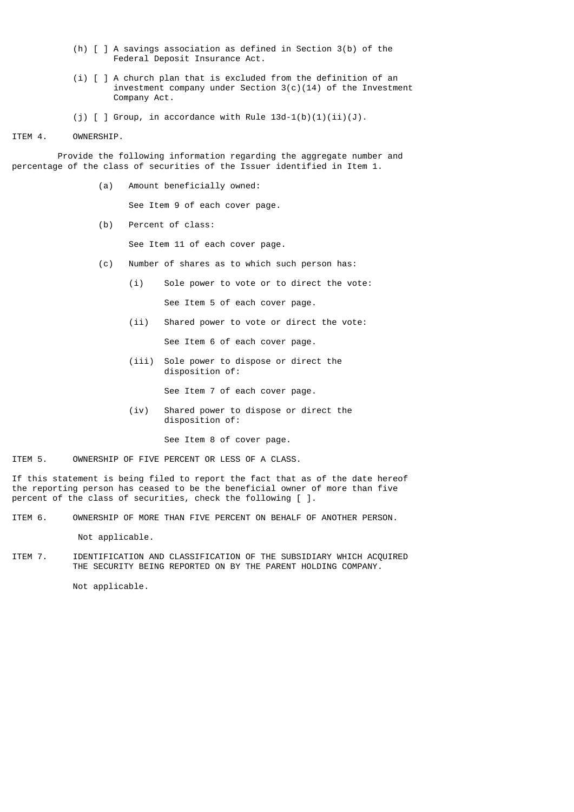- (h) [ ] A savings association as defined in Section 3(b) of the Federal Deposit Insurance Act.
- (i) [ ] A church plan that is excluded from the definition of an investment company under Section 3(c)(14) of the Investment Company Act.
- (j)  $[ ]$  Group, in accordance with Rule  $13d-1(b)(1)(ii)(J)$ .
- ITEM 4. OWNERSHIP.

 Provide the following information regarding the aggregate number and percentage of the class of securities of the Issuer identified in Item 1.

(a) Amount beneficially owned:

See Item 9 of each cover page.

(b) Percent of class:

See Item 11 of each cover page.

- (c) Number of shares as to which such person has:
	- (i) Sole power to vote or to direct the vote:

See Item 5 of each cover page.

(ii) Shared power to vote or direct the vote:

See Item 6 of each cover page.

 (iii) Sole power to dispose or direct the disposition of:

See Item 7 of each cover page.

 (iv) Shared power to dispose or direct the disposition of:

See Item 8 of cover page.

ITEM 5. OWNERSHIP OF FIVE PERCENT OR LESS OF A CLASS.

If this statement is being filed to report the fact that as of the date hereof the reporting person has ceased to be the beneficial owner of more than five percent of the class of securities, check the following [ ].

ITEM 6. OWNERSHIP OF MORE THAN FIVE PERCENT ON BEHALF OF ANOTHER PERSON.

Not applicable.

ITEM 7. IDENTIFICATION AND CLASSIFICATION OF THE SUBSIDIARY WHICH ACQUIRED THE SECURITY BEING REPORTED ON BY THE PARENT HOLDING COMPANY.

Not applicable.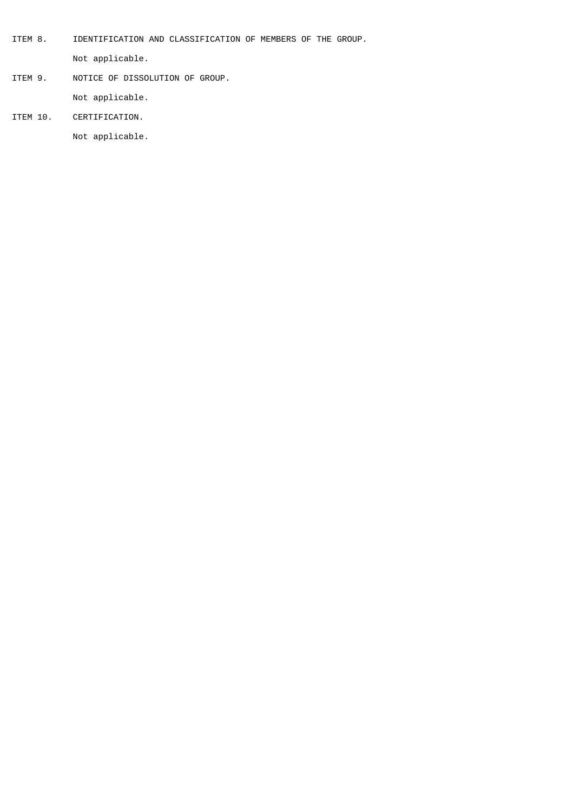- ITEM 8. IDENTIFICATION AND CLASSIFICATION OF MEMBERS OF THE GROUP. Not applicable.
- ITEM 9. NOTICE OF DISSOLUTION OF GROUP. Not applicable.
- 
- ITEM 10. CERTIFICATION.

Not applicable.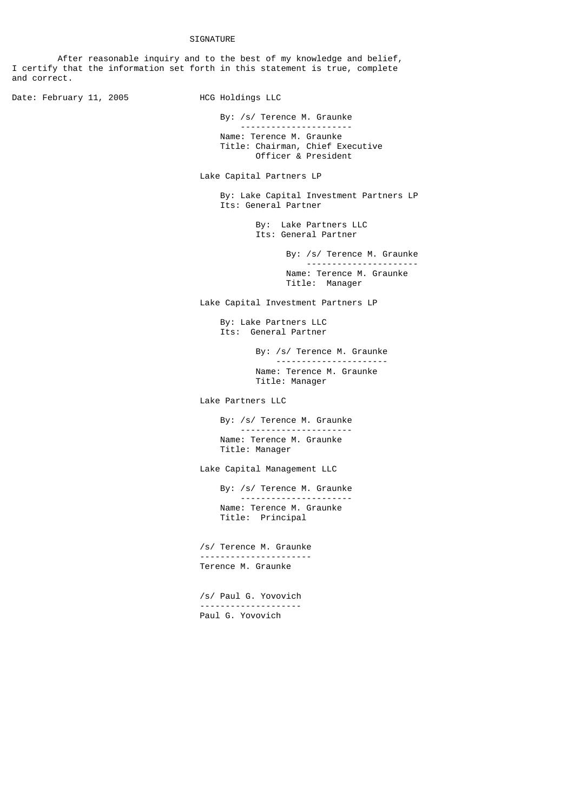## **SIGNATURE**

 After reasonable inquiry and to the best of my knowledge and belief, I certify that the information set forth in this statement is true, complete and correct.

Date: February 11, 2005 HCG Holdings LLC

By: /s/ Terence M. Graunke

 ---------------------- Name: Terence M. Graunke Title: Chairman, Chief Executive Officer & President

Lake Capital Partners LP

 By: Lake Capital Investment Partners LP Its: General Partner

> By: Lake Partners LLC Its: General Partner

> > By: /s/ Terence M. Graunke ---------------------- Name: Terence M. Graunke Title: Manager

Lake Capital Investment Partners LP

 By: Lake Partners LLC Its: General Partner

> By: /s/ Terence M. Graunke ---------------------- Name: Terence M. Graunke Title: Manager

Lake Partners LLC

 By: /s/ Terence M. Graunke ---------------------- Name: Terence M. Graunke Title: Manager

Lake Capital Management LLC

 By: /s/ Terence M. Graunke ---------------------- Name: Terence M. Graunke Title: Principal

 /s/ Terence M. Graunke ---------------------- Terence M. Graunke

> /s/ Paul G. Yovovich -------------------- Paul G. Yovovich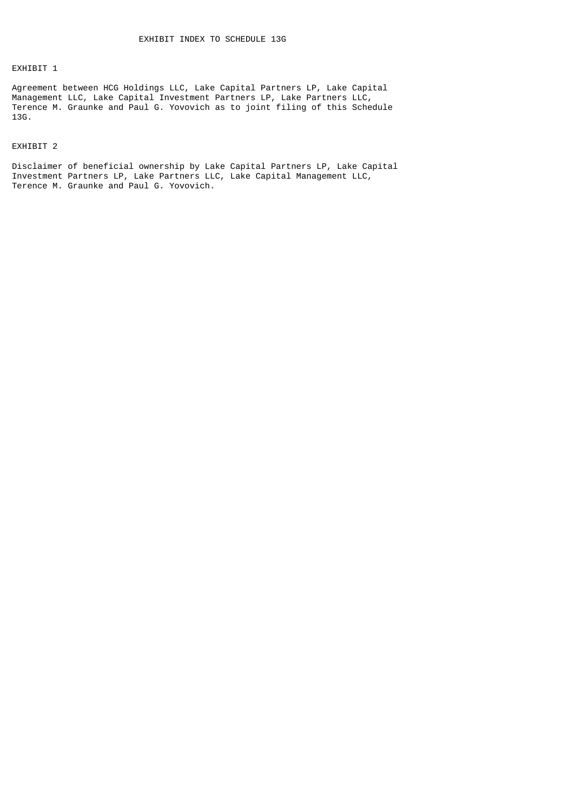## EXHIBIT 1

Agreement between HCG Holdings LLC, Lake Capital Partners LP, Lake Capital Management LLC, Lake Capital Investment Partners LP, Lake Partners LLC, Terence M. Graunke and Paul G. Yovovich as to joint filing of this Schedule 13G.

## EXHIBIT 2

Disclaimer of beneficial ownership by Lake Capital Partners LP, Lake Capital Investment Partners LP, Lake Partners LLC, Lake Capital Management LLC, Terence M. Graunke and Paul G. Yovovich.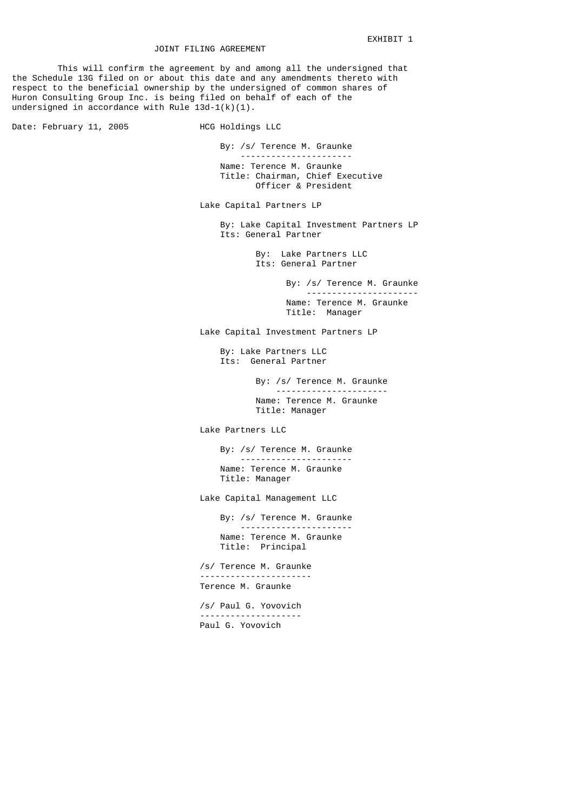This will confirm the agreement by and among all the undersigned that the Schedule 13G filed on or about this date and any amendments thereto with respect to the beneficial ownership by the undersigned of common shares of Huron Consulting Group Inc. is being filed on behalf of each of the undersigned in accordance with Rule 13d-1(k)(1).

Date: February 11, 2005 HCG Holdings LLC

 By: /s/ Terence M. Graunke ---------------------- Name: Terence M. Graunke Title: Chairman, Chief Executive Officer & President

Lake Capital Partners LP

 By: Lake Capital Investment Partners LP Its: General Partner

> By: Lake Partners LLC Its: General Partner

 By: /s/ Terence M. Graunke ---------------------- Name: Terence M. Graunke Title: Manager

Lake Capital Investment Partners LP

 By: Lake Partners LLC Its: General Partner

> By: /s/ Terence M. Graunke ---------------------- Name: Terence M. Graunke Title: Manager

Lake Partners LLC

 By: /s/ Terence M. Graunke ---------------------- Name: Terence M. Graunke Title: Manager

Lake Capital Management LLC

 By: /s/ Terence M. Graunke ---------------------- Name: Terence M. Graunke Title: Principal

 /s/ Terence M. Graunke ---------------------- Terence M. Graunke

> /s/ Paul G. Yovovich -------------------- Paul G. Yovovich